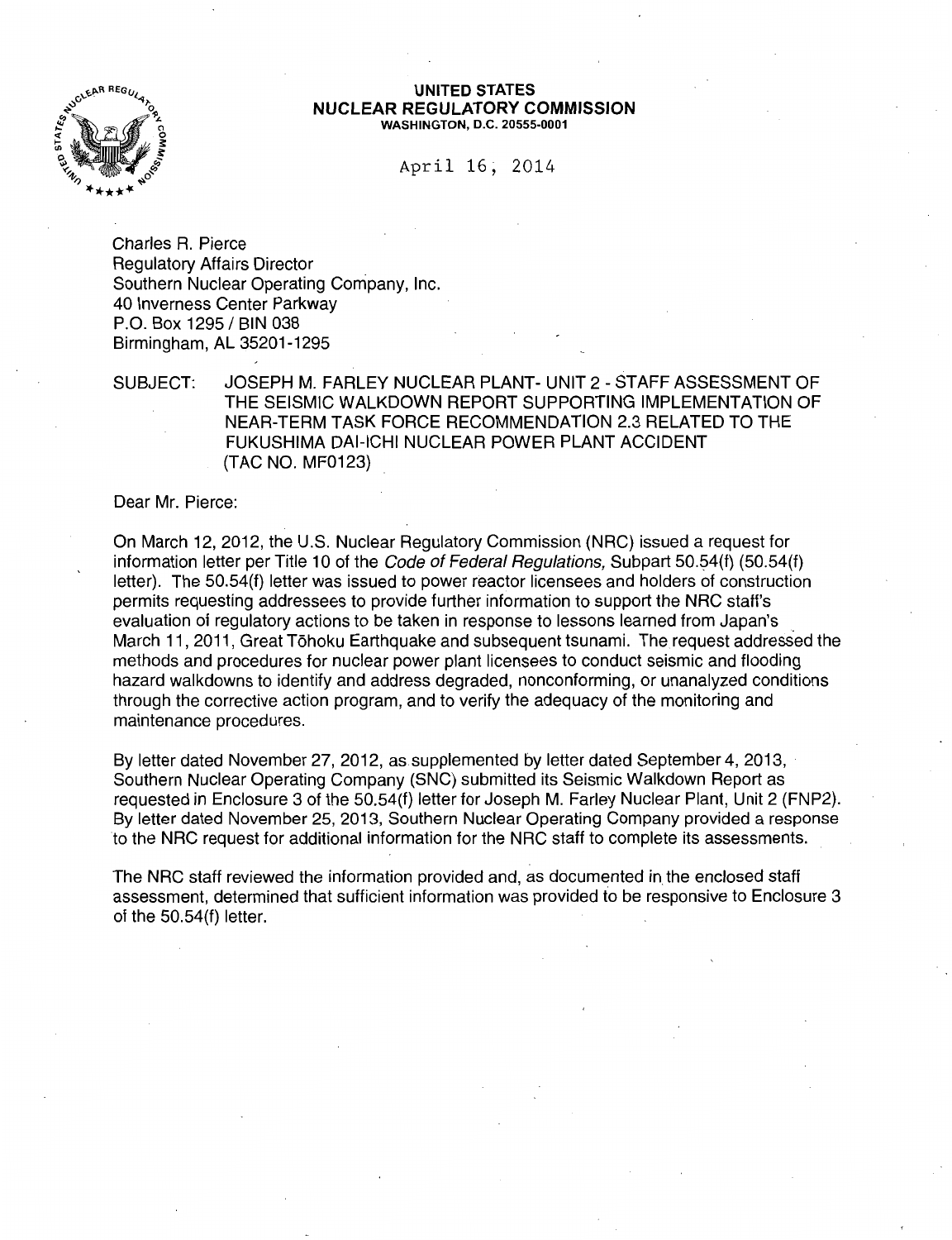

#### UNITED STATES NUCLEAR REGULATORY COMMISSION WASHINGTON, D.C. 20555-0001

April 16; 2014

Charles R. Pierce Regulatory Affairs Director Southern Nuclear Operating Company, Inc. 40 Inverness Center Parkway P.O. Box 1295 / BIN 038 Birmingham, AL 35201-1295

SUBJECT: JOSEPH M. FARLEY NUCLEAR PLANT- UNIT 2- STAFF ASSESSMENT OF THE SEISMIC WALKDOWN REPORT SUPPORTING IMPLEMENTATION OF NEAR-TERM TASK FORCE RECOMMENDATION 2.3 RELATED TO THE FUKUSHIMA DAI-ICHI NUCLEAR POWER PLANT ACCIDENT (TAC NO. MF0123)

Dear Mr. Pierce:

On March 12, 2012, the U.S. Nuclear Regulatory Commission (NRC) issued a request for information letter per Title 10 of the *Code of Federal Regulations*, Subpart 50.54(f) (50.54(f) letter). The 50.54(f) letter was issued to power reactor licensees and holders of construction permits requesting addressees to provide further information to support the NRC staff's evaluation of regulatory actions to be taken in response to lessons learned from Japan's March 11, 2011, Great Tōhoku Earthquake and subsequent tsunami. The request addressed the methods and procedures for nuclear power plant licensees to conduct seismic and flooding hazard walkdowns to identify and address degraded, nonconforming, or unanalyzed conditions through the corrective action program, and to verify the adequacy of the monitoring and maintenance procedures.

By letter dated November 27, 2012, as supplemented by letter dated September 4, 2013, Southern Nuclear Operating Company (SNC) submitted its Seismic Walkdown Report as requested in Enclosure 3 of the 50.54(f) letter for Joseph M. Farley Nuclear Plant, Unit 2 (FNP2). By letter dated November 25, 2013, Southern Nuclear Operating Company provided a response to the NRC request for additional information for the NRC staff to complete its assessments.

The NRC staff reviewed the information provided and, as documented in the enclosed staff assessment, determined that sufficient information was provided to be responsive to Enclosure 3 of the 50.54(f) letter.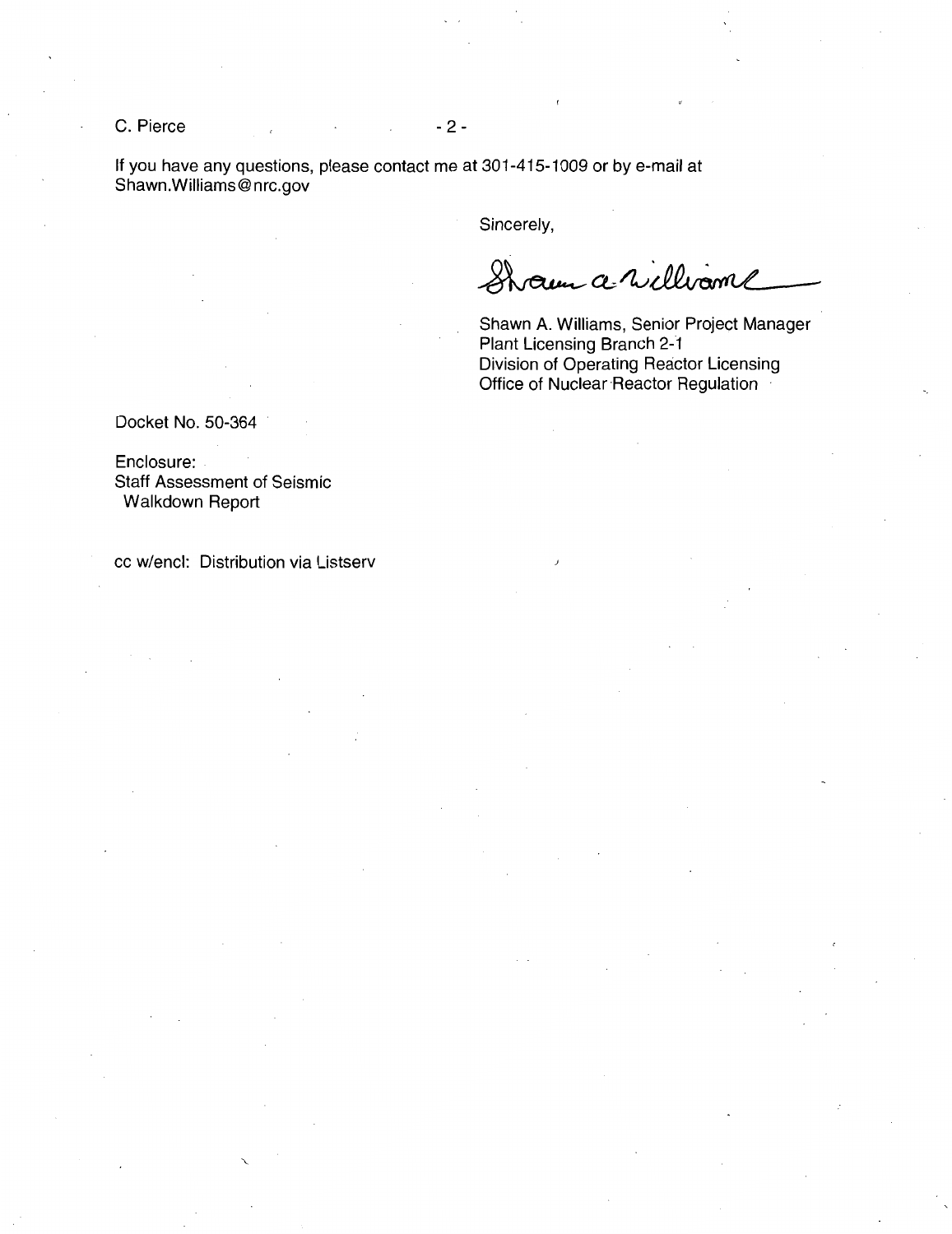$C.$  Pierce  $\sim$  2 -

If you have any questions, please contact me at 301-415-1009 or by e-mail at Shawn.Williams@nrc.gov

Sincerely,

Sham a willwame

Shawn A. Williams, Senior Project Manager Plant Licensing Branch 2-1 Division of Operating Reactor Licensing Office of Nuclear Reactor Regulation

Docket No. 50-364

Enclosure: Staff Assessment of Seismic Walkdown Report

cc w/encl: Distribution via Listserv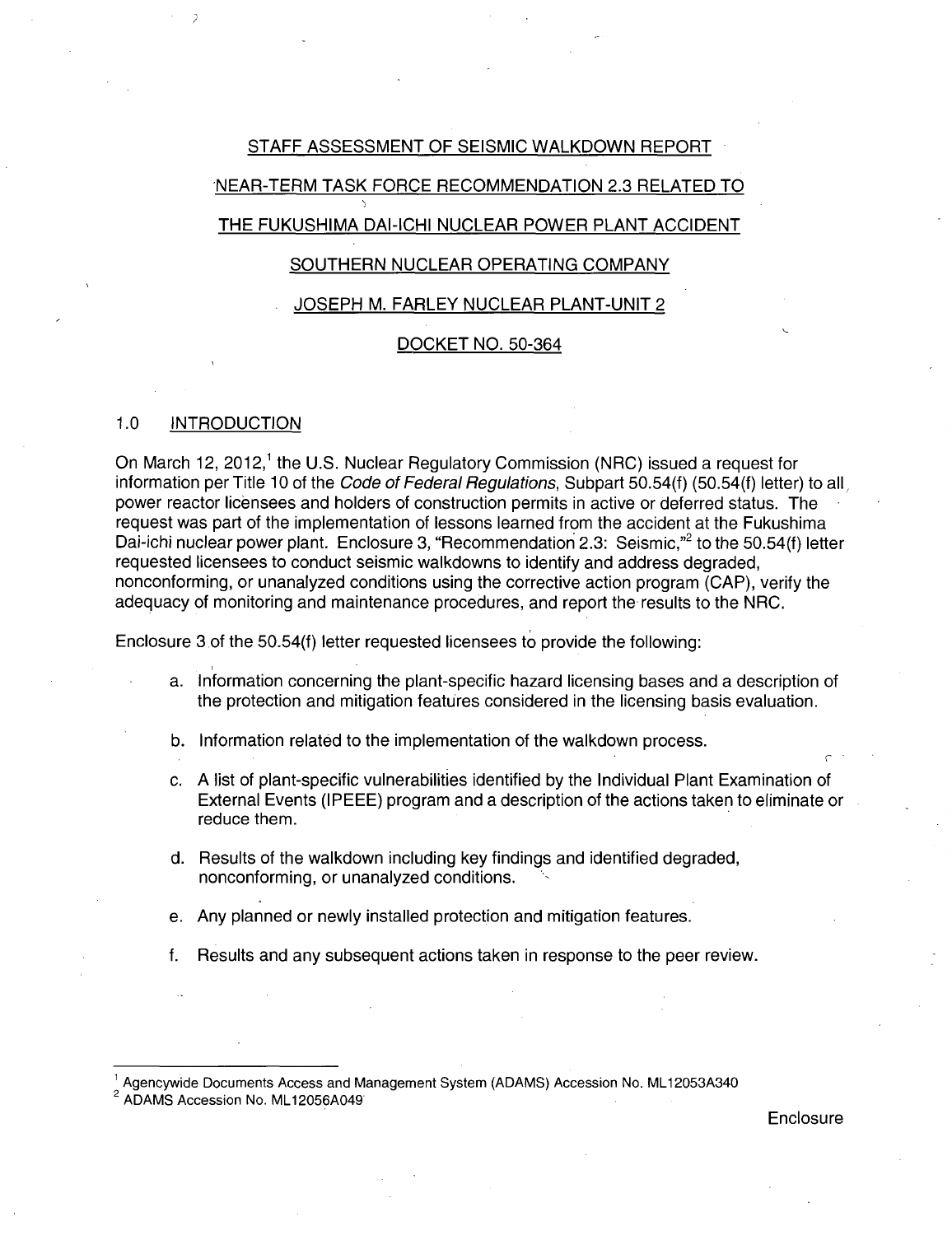## STAFF ASSESSMENT OF SEISMIC WALKDOWN REPORT

## NEAR-TERM TASK FORCE RECOMMENDATION 2.3 RELATED TO

# THE FUKUSHIMA DAI-ICHI NUCLEAR POWER PLANT ACCIDENT

### SOUTHERN NUCLEAR OPERATING COMPANY

#### JOSEPH M. FARLEY NUCLEAR PLANT-UNIT 2

### DOCKET NO. 50-364

#### 1.0 INTRODUCTION

On March 12, 2012,<sup>1</sup> the U.S. Nuclear Regulatory Commission (NRC) issued a request for information per Title 10 of the Code of Federal Regulations, Subpart 50.54(f) (50.54(f) letter) to all power reactor licensees and holders of construction permits in active or deferred status. The request was part of the implementation of lessons learned from the accident at the Fukushima Dai-ichi nuclear power plant. Enclosure 3, "Recommendation 2.3: Seismic,"<sup>2</sup> to the 50.54(f) letter requested licensees to conduct seismic walkdowns to identify and address degraded, nonconforming, or unanalyzed conditions using the corrective action program (CAP), verify the adequacy of monitoring and maintenance procedures, and report the results to the NRC.

Enclosure 3 of the 50.54(f) letter requested licensees to provide the following:

- a. Information concerning the plant-specific hazard licensing bases and a description of the protection and mitigation features considered in the licensing basis evaluation.
- b. Information related to the implementation of the walkdown process.
- c. A list of plant-specific vulnerabilities identified by the Individual Plant Examination of External Events (IPEEE) program and a description of the actions taken to eliminate or reduce them.
- d. Results of the walkdown including key findings and identified degraded, nonconforming, or unanalyzed conditions. ,
- e. Any planned or newly installed protection and mitigation features.
- f. Results and any subsequent actions taken in response to the peer review.

**Enclosure** 

 $^1$  Agencywide Documents Access and Management System (ADAMS) Accession No. ML12053A340<br><sup>2</sup> ADAMS Accession No. ML12056A049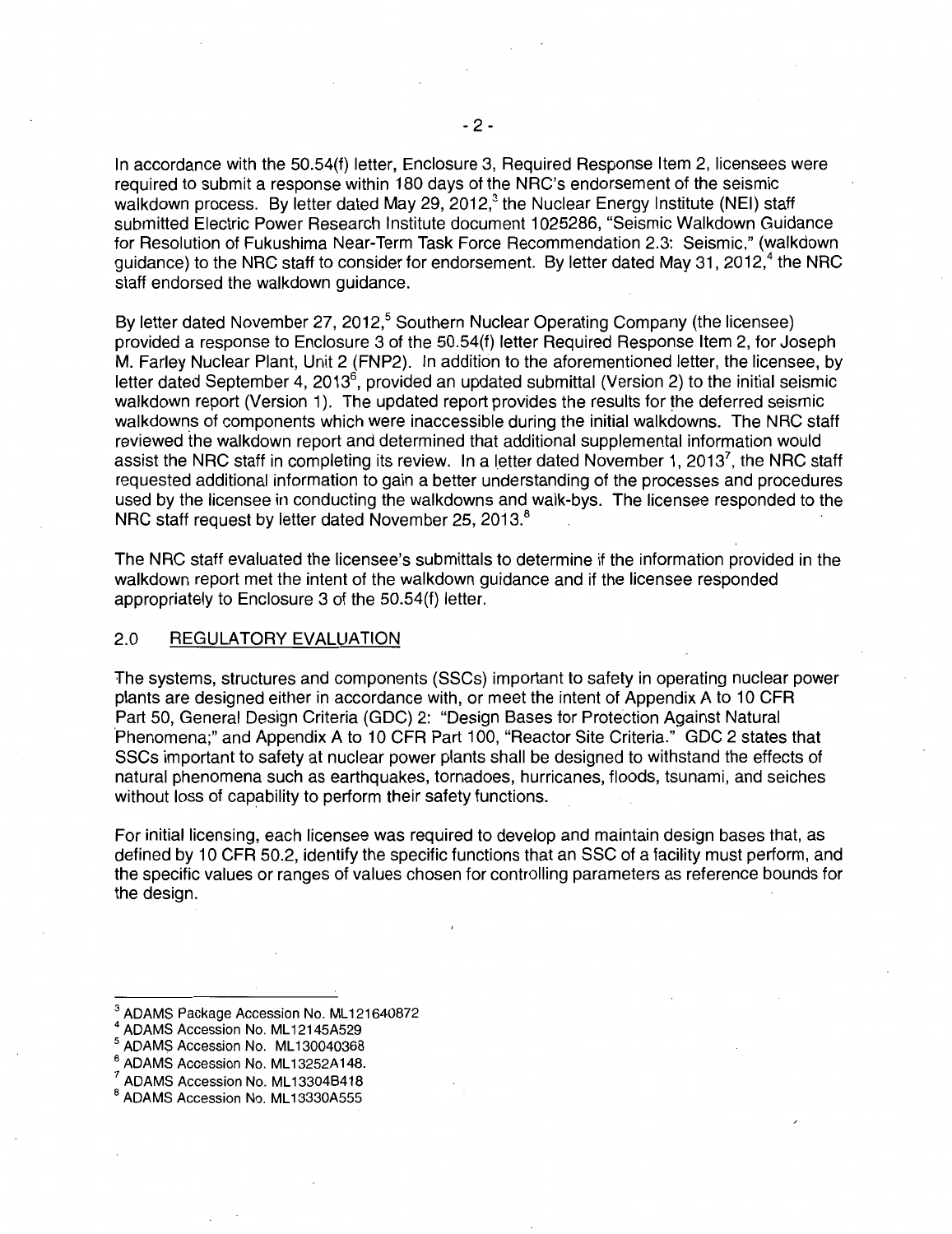In accordance with the 50.54(f) letter, Enclosure 3, Required Response Item 2, licensees were required to submit a response within 180 days of the NRC's endorsement of the seismic walkdown process. By letter dated May 29, 2012, $3$  the Nuclear Energy Institute (NEI) staff submitted Electric Power Research Institute document 1025286, "Seismic Walkdown Guidance for Resolution of Fukushima Near-Term Task Force Recommendation 2.3: Seismic," (walkdown quidance) to the NRC staff to consider for endorsement. By letter dated May 31, 2012,<sup>4</sup> the NRC staff endorsed the walkdown guidance.

By letter dated November 27, 2012,<sup>5</sup> Southern Nuclear Operating Company (the licensee) provided a response to Enclosure 3 of the 50.54(f) letter Required Response Item 2, for Joseph M. Farley Nuclear Plant, Unit 2 (FNP2). In addition to the aforementioned letter, the licensee, by letter dated September 4, 2013 $^6$ , provided an updated submittal (Version 2) to the initial seismic walkdown report (Version 1). The updated report provides the results for the deferred seismic walkdowns of components which were inaccessible during the initial walkdowns. The NRC staff reviewed the walkdown report and determined that additional supplemental information would assist the NRC staff in completing its review. In a letter dated November 1, 2013<sup>7</sup>, the NRC staff requested additional information to gain a better understanding of the processes and procedures used by the licensee in conducting the walkdowns and walk-bys. The licensee responded to the NRC staff request by letter dated November 25, 2013.<sup>8</sup>

The NRC staff evaluated the licensee's submittals to determine if the information provided in the walkdown report met the intent of the walkdown guidance and if the licensee responded appropriately to Enclosure 3 of the 50.54(f) letter.

# 2.0 REGULATORY EVALUATION

The systems, structures and components (SSCs) important to safety in operating nuclear power plants are designed either in accordance with, or meet the intent of Appendix A to 10 CFR Part 50, General Design Criteria (GDC) 2: "Design Bases for Protection Against Natural ·Phenomena;" and Appendix A to 10 CFR Part 1 00, "Reactor Site Criteria." GDC 2 states that SSCs important to safety at nuclear power plants shall be designed to withstand the effects of natural phenomena such as earthquakes, tornadoes, hurricanes, floods, tsunami, and seiches without loss of capability to perform their safety functions.

For initial licensing, each licensee was required to develop and maintain design bases that, as defined by 10 CFR 50.2, identify the specific functions that an SSC of a facility must perform, and the specific values or ranges of values chosen for controlling parameters as reference bounds for the design.

 $^3$  ADAMS Package Accession No. ML121640872<br><sup>4</sup> ADAMS Accession No. ML12145A529<br><sup>5</sup> ADAMS Accession No. ML130040368

 $^6$  ADAMS Accession No. ML13252A148.<br><sup>7</sup> ADAMS Accession No. ML13304B418<br><sup>8</sup> ADAMS Accession No. ML13330A555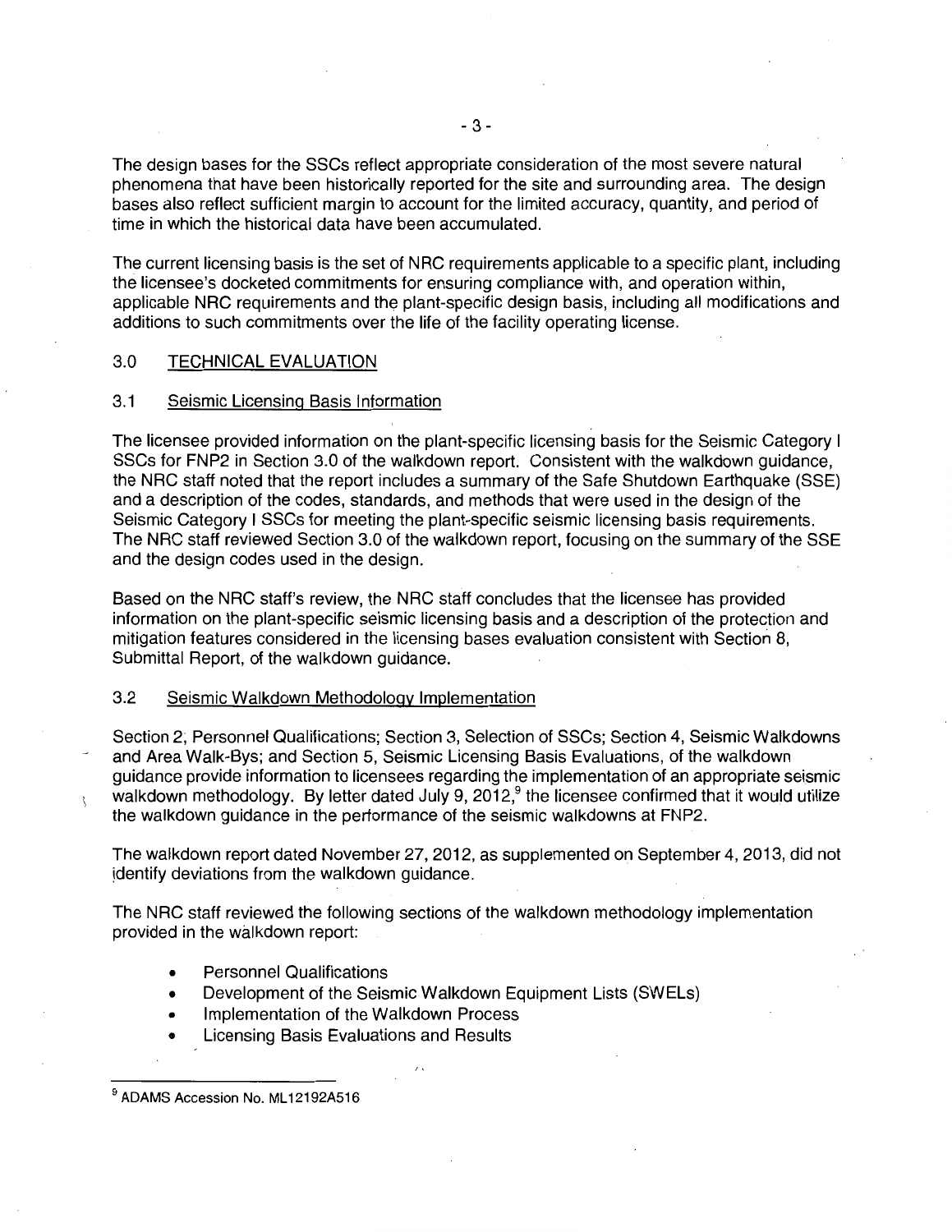The design bases for the SSCs reflect appropriate consideration of the most severe natural phenomena that have been historically reported for the site and surrounding area. The design bases also reflect sufficient margin to account for the limited accuracy, quantity, and period of time in which the historical data have been accumulated.

The current licensing basis is the set of NRC requirements applicable to a specific plant, including the licensee's docketed commitments for ensuring compliance with, and operation within, applicable NRC requirements and the plant-specific design basis, including all modifications and additions to such commitments over the life of the facility operating license.

### 3.0 TECHNICAL EVALUATION

#### 3.1 Seismic Licensing Basis Information

The licensee provided information on the plant-specific licensing basis for the Seismic Category I SSCs for FNP2 in Section 3.0 of the walkdown report. Consistent with the walkdown guidance, the NRC staff noted that the report includes a summary of the Safe Shutdown Earthquake (SSE) and a description of the codes, standards, and methods that were used in the design of the Seismic Category I SSCs for meeting the plant-specific seismic licensing basis requirements. The NRC staff reviewed Section 3.0 of the walkdown report, focusing on the summary of the SSE and the design codes used in the design.

Based on the NRC staff's review, the NRC staff concludes that the licensee has provided information on the plant-specific seismic licensing basis and a description of the protection and mitigation features considered in the licensing bases evaluation consistent with Section 8, Submittal Report, of the walkdown guidance.

### 3.2 Seismic Walkdown Methodology Implementation

Section 2; Personnel Qualifications; Section 3, Selection of SSCs; Section 4, Seismic Walkdowns and Area Walk-Bys; and Section 5, Seismic Licensing Basis Evaluations, of the walkdown guidance provide information to licensees regarding the implementation of an appropriate seismic walkdown methodology. By letter dated July 9, 2012,<sup>9</sup> the licensee confirmed that it would utilize the walkdown guidance in the performance of the seismic walkdowns at FNP2.

The walkdown report dated November 27, 2012, as supplemented on September 4, 2013, did not identify deviations from the walkdown quidance.

The NRC staff reviewed the following sections of the walkdown methodology implementation provided in the walkdown report:

- Personnel Qualifications
- Development of the Seismic Walkdown Equipment Lists (SWELs)
- Implementation of the Walkdown Process
- Licensing Basis Evaluations and Results

 $\mathfrak{r}$ 

<sup>&</sup>lt;sup>9</sup> ADAMS Accession No. ML12192A516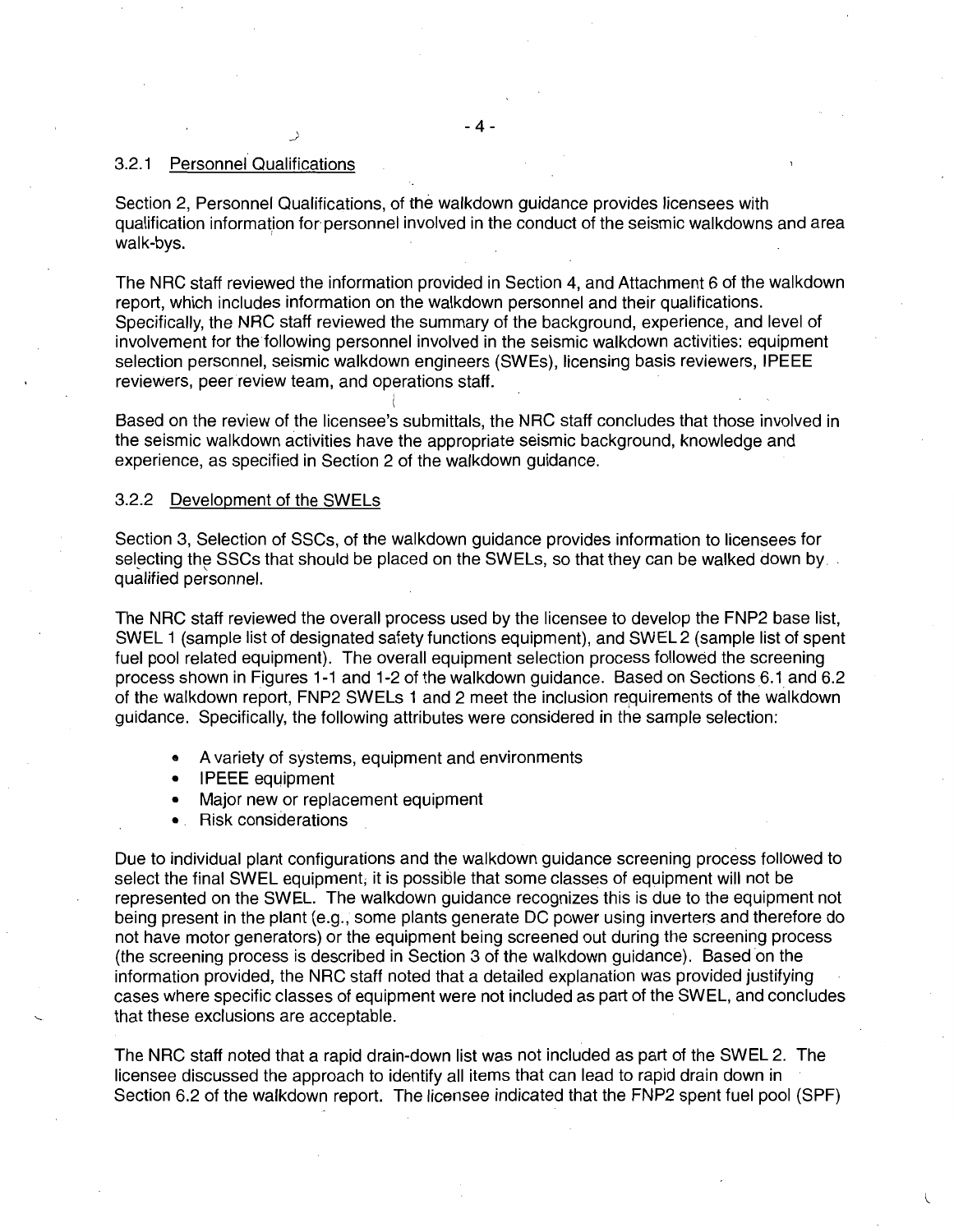## 3.2.1 Personnel Qualifications

Section 2, Personnel Qualifications, of the walkdown guidance provides licensees with qualification information for personnel involved in the conduct of the seismic walkdowns and area walk-bys.

The NRC staff reviewed the information provided in Section 4, and Attachment 6 of the walkdown report, which includes information on the walkdown personnel and their qualifications. Specifically, the NRC staff reviewed the summary of the background, experience, and level of involvement for the following personnel involved in the seismic walkdown activities: equipment selection personnel, seismic walkdown engineers (SWEs), licensing basis reviewers, IPEEE reviewers, peer review team, and operations staff.

l Based on the review of the licensee's submittals, the NRC staff concludes that those involved in the seismic walkdown activities have the appropriate seismic background, knowledge and experience, as specified in Section 2 of the walkdown guidance.

#### 3.2.2 Development of the SWELs

Section 3, Selection of SSCs, of the walkdown guidance provides information to licensees for selecting the SSCs that should be placed on the SWELs, so that they can be walked down by . qualified personnel.

The NRC staff reviewed the overall process used by the licensee to develop the FNP2 base list, SWEL 1 (sample list of designated safety functions equipment), and SWEL 2 (sample list of spent fuel pool related equipment). The overall equipment selection process followed the screening process shown in Figures 1-1 and 1-2 of the walkdown guidance. Based on Sections 6.1 and 6.2 of the walkdown report, FNP2 SWELs 1 and 2 meet the inclusion requirements of the walkdown guidance. Specifically, the following attributes were considered in the sample selection:

- A variety of systems, equipment and environments
- IPEEE equipment
- Major new or replacement equipment
- Risk considerations

Due to individual plant configurations and the walkdown guidance screening process followed to select the final SWEL equipment; it is possible that some classes of equipment will not be represented on the SWEL. The walkdown guidance recognizes this is due to the equipment not being present in the plant (e.g., some plants generate DC power using inverters and therefore do not have motor generators) or the equipment being screened out during the screening process (the screening process is described in Section 3 of the walkdown guidance). Based on the information provided, the NRC staff noted that a detailed explanation was provided justifying cases where specific classes of equipment were not included as part of the SWEL, and concludes that these exclusions are acceptable.

The NRC staff noted that a rapid drain-down list was not included as part of the SWEL 2. The licensee discussed the approach to identify all items that can lead to rapid drain down in Section 6.2 of the walkdown report. The licensee indicated that the FNP2 spent fuel pool (SPF)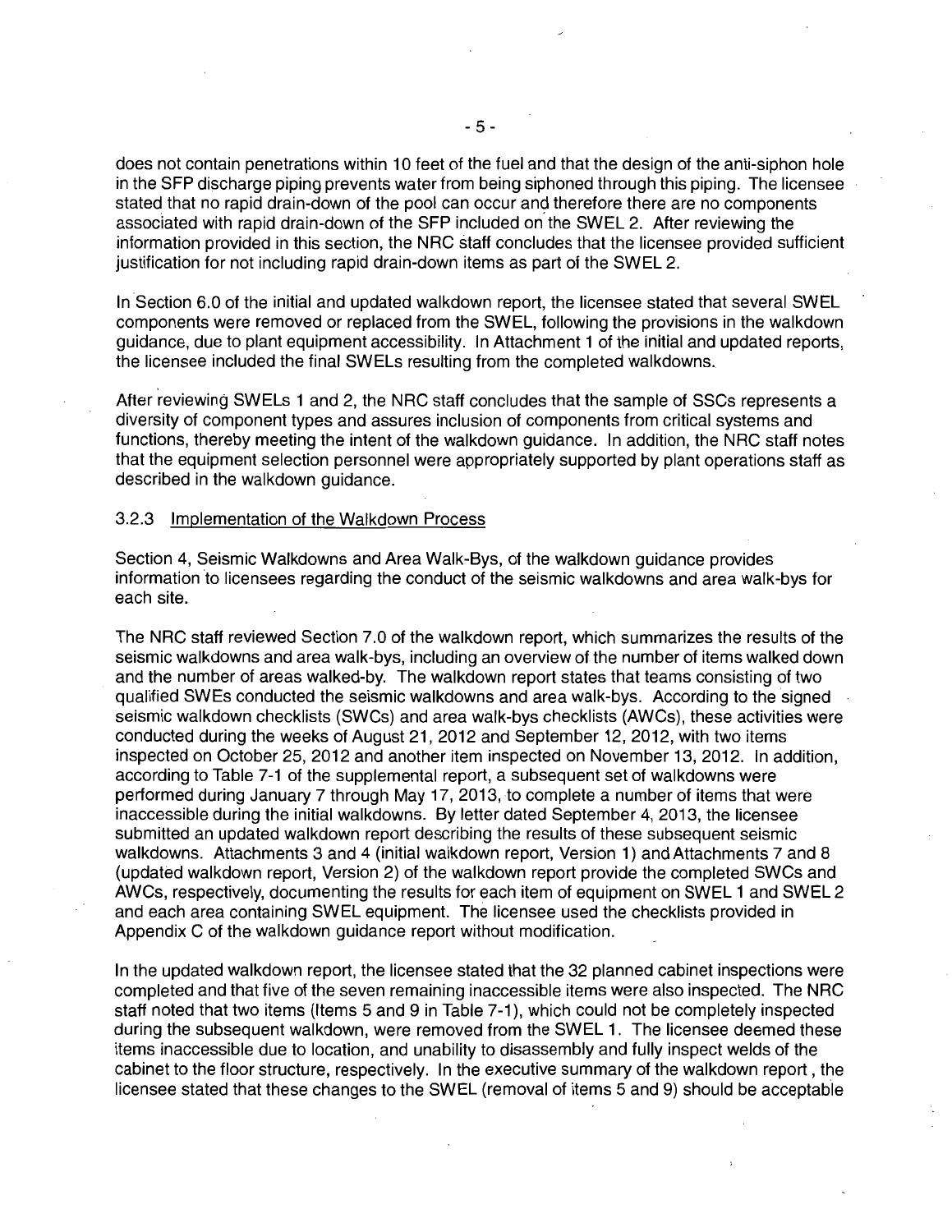does not contain penetrations within 10 feet of the fuel and that the design of the anti-siphon hole in the SFP discharge piping prevents water from being siphoned through this piping. The licensee stated that no rapid drain-down of the pool can occur and therefore there are no components associated with rapid drain-down of the SFP included on. the SWEL 2. After reviewing the information provided in this section, the NRC staff concludes that the licensee provided sufficient justification for not including rapid drain-down items as part of the SWEL 2.

In Section 6.0 of the initial and updated walkdown report, the licensee stated that several SWEL components were removed or replaced from the SWEL, following the provisions in the walkdown guidance, due to plant equipment accessibility. In Attachment 1 of the initial and updated reports, the licensee included the final SWELs resulting from the completed walkdowns.

After reviewing SWELs 1 and 2, the NRC staff concludes that the sample of SSCs represents a diversity of component types and assures inclusion of components from critical systems and functions, thereby meeting the intent of the walkdown guidance. In addition, the NRC staff notes that the equipment selection personnel were appropriately supported by plant operations staff as described in the walkdown guidance.

#### 3.2.3 Implementation of the Walkdown Process

Section 4, Seismic Walkdowns and Area Walk-Bys, of the walkdown guidance provides information to licensees regarding the conduct of the seismic walkdowns and area walk-bys for each site.

The NRC staff reviewed Section 7.0 of the walkdown report, which summarizes the results of the seismic walkdowns and area walk-bys, including an overview of the number of items walked down and the number of areas walked-by. The walkdown report states that teams consisting of two qualified SWEs conducted the seismic walkdowns and area walk-bys. According to the signed seismic walkdown checklists (SWCs) and area walk-bys checklists (AWCs), these activities were conducted during the weeks of August 21, 2012 and September 12, 2012, with two items inspected on October 25, 2012 and another item inspected on November 13, 2012. In addition, according to Table 7-1 of the supplemental report, a subsequent set of walkdowns were performed during January 7 through May 17, 2013, to complete a number of items that were inaccessible during the initial walkdowns. By letter dated September 4, 2013, the licensee submitted an updated walkdown report describing the results of these subsequent seismic walkdowns. Attachments 3 and 4 (initial walkdown report, Version 1) and Attachments 7 and 8 (updated walkdown report, Version 2) of the walkdown report provide the completed SWCs and AWCs, respectively, documenting the results for each item of equipment on SWEL 1 and SWEL 2 and each area containing SWEL equipment. The licensee used the checklists provided in Appendix C of the walkdown guidance report without modification.

In the updated walkdown report, the licensee stated that the 32 planned cabinet inspections were completed and that five of the seven remaining inaccessible items were also inspected. The NRC staff noted that two items (Items 5 and 9 in Table 7-1), which could not be completely inspected during the subsequent walkdown, were removed from the SWEL 1. The licensee deemed these items inaccessible due to location, and unability to disassembly and fully inspect welds of the cabinet to the floor structure, respectively. In the executive summary of the walkdown report, the licensee stated that these changes to the SWEL (removal of items 5 and 9) should be acceptable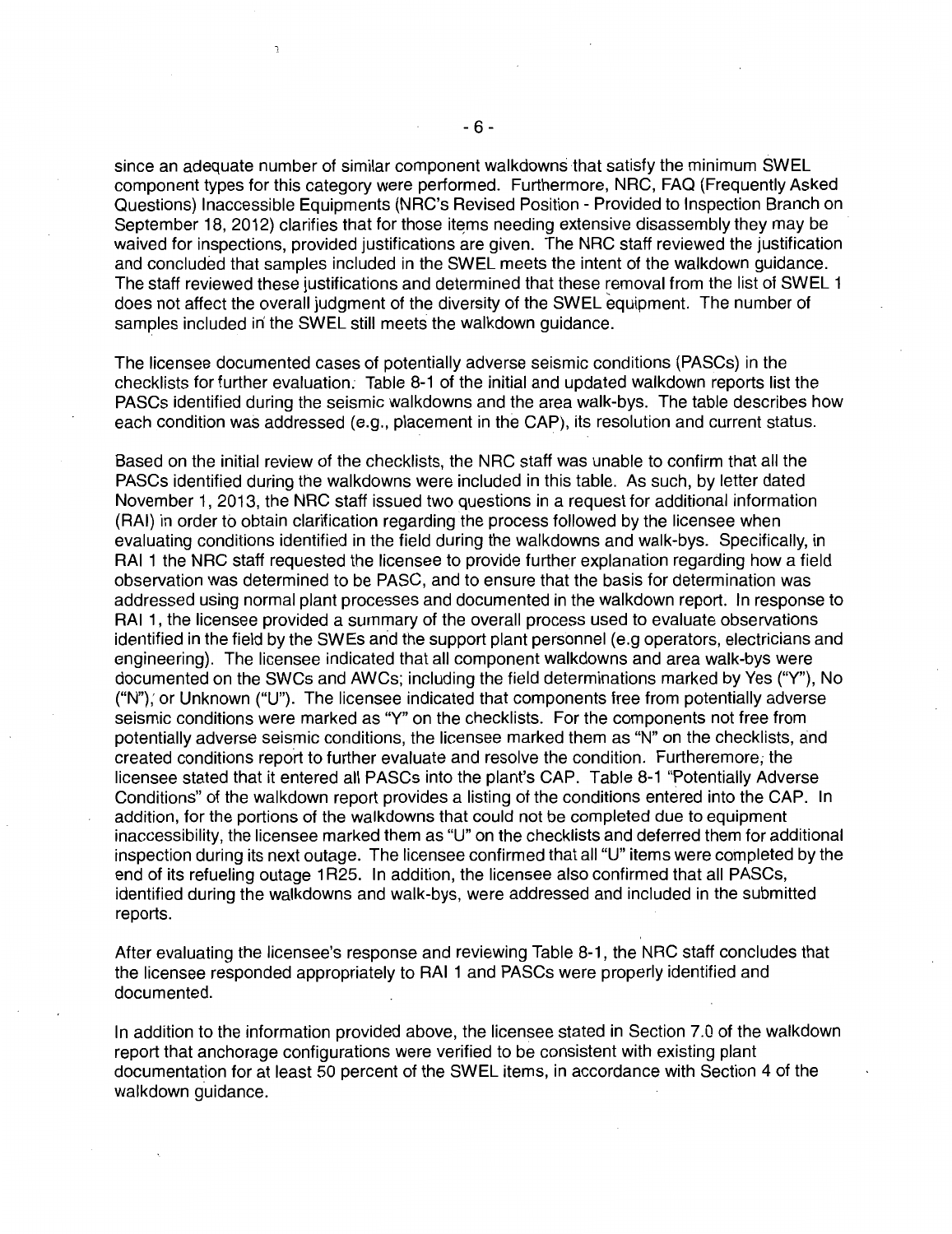since an adequate number of similar component walkdowns that satisfy the minimum SWEL component types for this category were performed. Furthermore, NRC, FAQ (Frequently Asked Questions) Inaccessible Equipments (NRC's Revised Position- Provided to Inspection Branch on September 18, 2012) clarifies that for those items needing extensive disassembly they may be waived for inspections, provided justifications are given. The NRC staff reviewed the justification and concluded that samples included in the SWEL meets the intent of the walkdown guidance. The staff reviewed these justifications and determined that these removal from the list of SWEL 1 does not affect the overall judgment of the diversity of the SWEL equipment. The number of samples included in' the SWEL still meets the walkdown guidance.

The licensee documented cases of potentially adverse seismic conditions (PASCs) in the checklists for further evaluation; Table 8-1 of the initial and updated walkdown reports list the PASCs identified during the seismic walkdowns and the area walk-bys. The table describes how each condition was addressed (e.g., placement in the CAP), its resolution and current status.

Based on the initial review of the checklists, the NRC staff was unable to confirm that all the PASCs identified during the walkdowns were included in this table. As such, by letter dated November 1, 2013, the NRC staff issued two questions in a request for additional information (RAI) in order to obtain clarification regarding the process followed by the licensee when evaluating conditions identified in the field during the walkdowns and walk-bys. Specifically, in RAI 1 the NRC staff requested the licensee to provide further explanation regarding how a field observation was determined to be PASC, and to ensure that the basis for determination was addressed using normal plant processes and documented in the walkdown report. In response to RAI 1, the licensee provided a summary of the overall process used to evaluate observations identified in the field by the SWEs and the support plant personnel (e.g operators, electricians and engineering). The licensee indicated that all component walkdowns and area walk-bys were documented on the SWCs and AWCs; including the field determinations marked by Yes ("Y"), No ("N"); or Unknown ("U"). The licensee indicated that components free from potentially adverse seismic conditions were marked as "Y" on the checklists. For the components not free from potentially adverse seismic conditions, the licensee marked them as "N" on the checklists, and created conditions report to further evaluate and resolve the condition. Furtheremore, the licensee stated that it entered all PASCs into the plant's CAP. Table 8-1 "Potentially Adverse Conditions" of the walkdown report provides a listing of the conditions entered into the CAP. In addition, for the portions of the walkdowns that could not be completed due to equipment inaccessibility, the licensee marked them as "U" on the checklists and deferred them for additional inspection during its next outage. The licensee confirmed that aii"U" items were completed by the end of its refueling outage 1 R25. In addition, the licensee also confirmed that all PASCs, identified during the walkdowns and walk-bys, were addressed and included in the submitted reports.

After evaluating the licensee's response and reviewing Table 8-1, the NRC staff concludes that the licensee responded appropriately to RAI 1 and PASCs were properly identified and documented.

In addition to the information provided above, the licensee stated in Section 7.0 of the walkdown report that anchorage configurations were verified to be consistent with existing plant documentation for at least 50 percent of the SWEL items, in accordance with Section 4 of the walkdown guidance.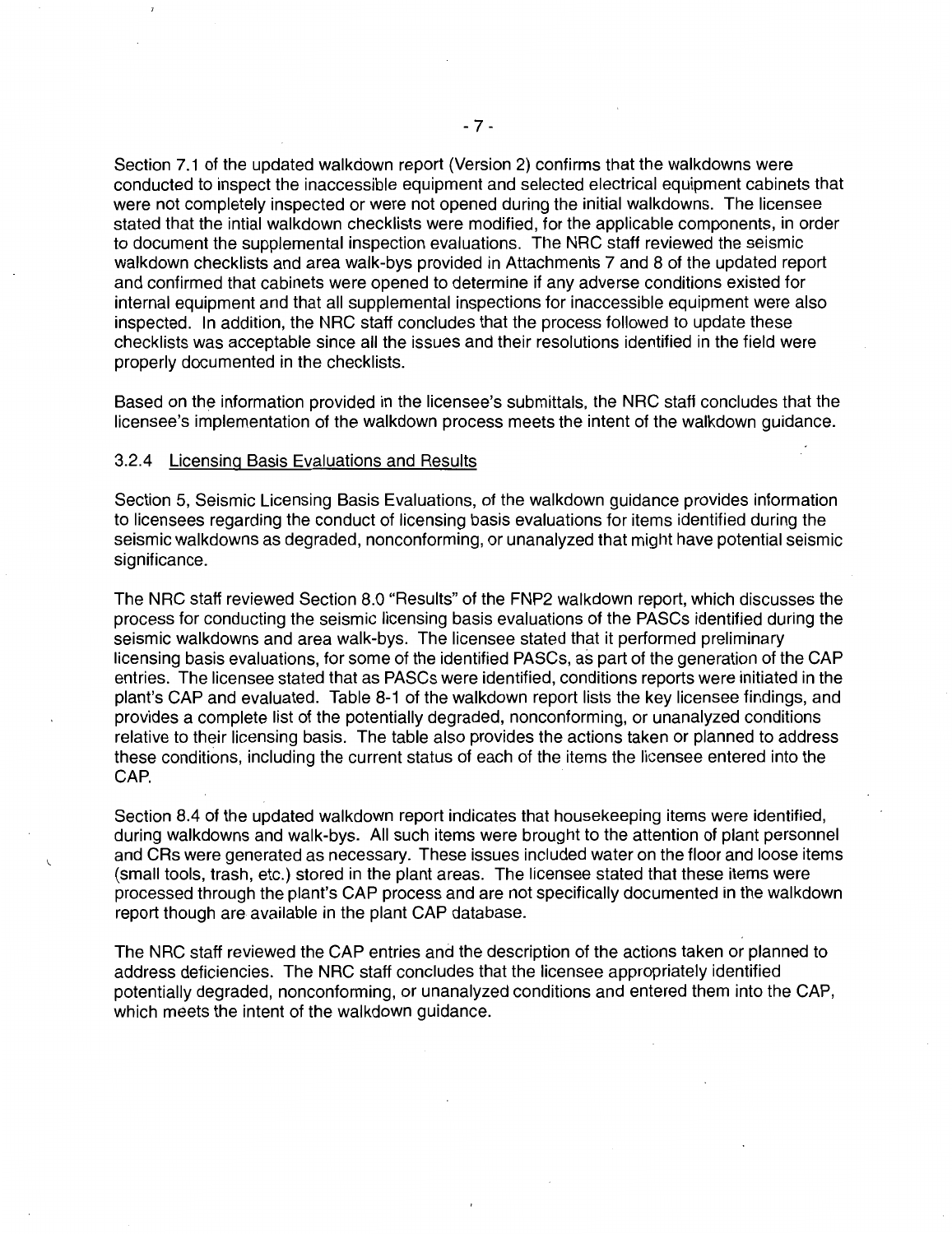Section 7.1 of the updated walkdown report (Version 2) confirms that the walkdowns were conducted to inspect the inaccessible equipment and selected electrical equipment cabinets that were not completely inspected or were not opened during the initial walkdowns. The licensee stated that the intial walkdown checklists were modified, for the applicable components, in order to document the supplemental inspection evaluations. The NRC staff reviewed the seismic walkdown checklists and area walk-bys provided in Attachments 7 and 8 of the updated report and confirmed that cabinets were opened to determine if any adverse conditions existed for internal equipment and that all supplemental inspections for inaccessible equipment were also inspected. In addition, the NRC staff concludes that the process followed to update these checklists was acceptable since all the issues and their resolutions identified in the field were properly documented in the checklists.

Based on the information provided in the licensee's submittals, the NRC staff concludes that the licensee's implementation of the walkdown process meets the intent of the walkdown guidance.

## 3.2.4 Licensing Basis Evaluations and Results

Section 5, Seismic Licensing Basis Evaluations, of the walkdown guidance provides information to licensees regarding the conduct of licensing basis evaluations for items identified during the seismic walkdowns as degraded, nonconforming, or unanalyzed that might have potential seismic significance.

The NRC staff reviewed Section 8.0 "Results" of the FNP2 walkdown report, which discusses the process for conducting the seismic licensing basis evaluations of the PASCs identified during the seismic walkdowns and area walk-bys. The licensee stated that it performed preliminary licensing basis evaluations, for some of the identified PASCs, as part of the generation of the CAP entries. The licensee stated that as PASCs were identified, conditions reports were initiated in the plant's CAP and evaluated. Table 8-1 of the walkdown report lists the key licensee findings, and provides a complete list of the potentially degraded, nonconforming, or unanalyzed conditions relative to their licensing basis. The table also provides the actions taken or planned to address these conditions, including the current status of each of the items the licensee entered into the CAP.

Section 8.4 of the updated walkdown report indicates that housekeeping items were identified, during walkdowns and walk-bys. All such items were brought to the attention of plant personnel and CAs were generated as necessary. These issues included water on the floor and loose items (small tools, trash, etc.) stored in the plant areas. The licensee stated that these items were processed through the plant's CAP process and are not specifically documented in the walkdown report though are available in the plant CAP database.

The NRC staff reviewed the CAP entries and the description of the actions taken or planned to address deficiencies. The NRC staff concludes that the licensee appropriately identified potentially degraded, nonconforming, or unanalyzed conditions and entered them into the CAP, which meets the intent of the walkdown quidance.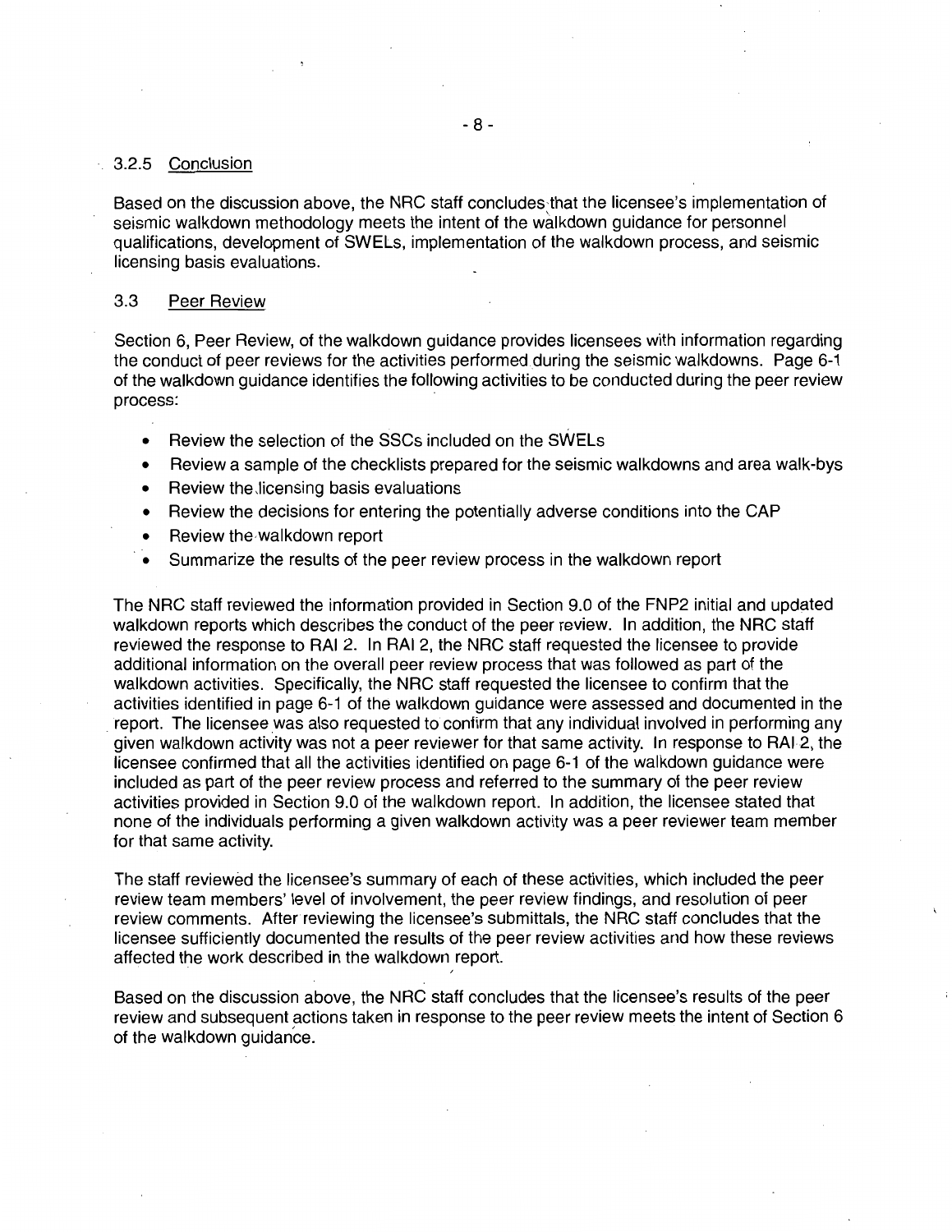### 3.2.5 Conclusion

Based on the discussion above, the NRC staff concludes that the licensee's implementation of seismic walkdown methodology meets the intent of the walkdown guidance for personnel qualifications, development of SWELs, implementation of the walkdown process, and seismic licensing basis evaluations.

### 3.3 Peer Review

Section 6, Peer Review, of the walkdown guidance provides licensees with information regarding the conduct of peer reviews for the activities performed during the seismic walkdowns. Page 6-1 of the walkdown guidance identifies the following activities to be conducted during the peer review process:

- Review the selection of the SSCs included on the SWELs
- Review a sample of the checklists prepared for the seismic walkdowns and area walk-bys
- Review the licensing basis evaluations
- Review the decisions for entering the potentially adverse conditions into the CAP
- Review the walkdown report
- Summarize the results of the peer review process in the walkdown report

The NRC staff reviewed the information provided in Section 9.0 of the FNP2 initial and updated walkdown reports which describes the conduct of the peer review. In addition, the NRC staff reviewed the response to RAI 2. In RAI 2, the NRC staff requested the licensee to provide additional information on the overall peer review process that was followed as part of the walkdown activities. Specifically, the NRC staff requested the licensee to confirm that the activities identified in page 6-1 of the walkdown guidance were assessed and documented in the . report. The licensee was also requested to confirm that any individual involved in performing any given walkdown activity was not a peer reviewer for that same activity. In response to RAI2, the licensee confirmed that all the activities identified on page 6-1 of the walkdown guidance were included as part of the peer review process and referred to the summary of the peer review activities provided in Section 9.0 of the walkdown report. In addition, the licensee stated that none of the individuals performing a given walkdown activity was a peer reviewer team member for that same activity.

The staff reviewed the licensee's summary of each of these activities, which included the peer review team members' level of involvement, the peer review findings, and resolution of peer review comments. After reviewing the licensee's submittals, the NRC staff concludes that the licensee sufficiently documented the results of the peer review activities and how these reviews affected the work described in the walkdown report.

'

Based on the discussion above, the NRC staff concludes that the licensee's results of the peer review and subsequent actions taken in response to the peer review meets the intent of Section 6 of the walkdown guidance.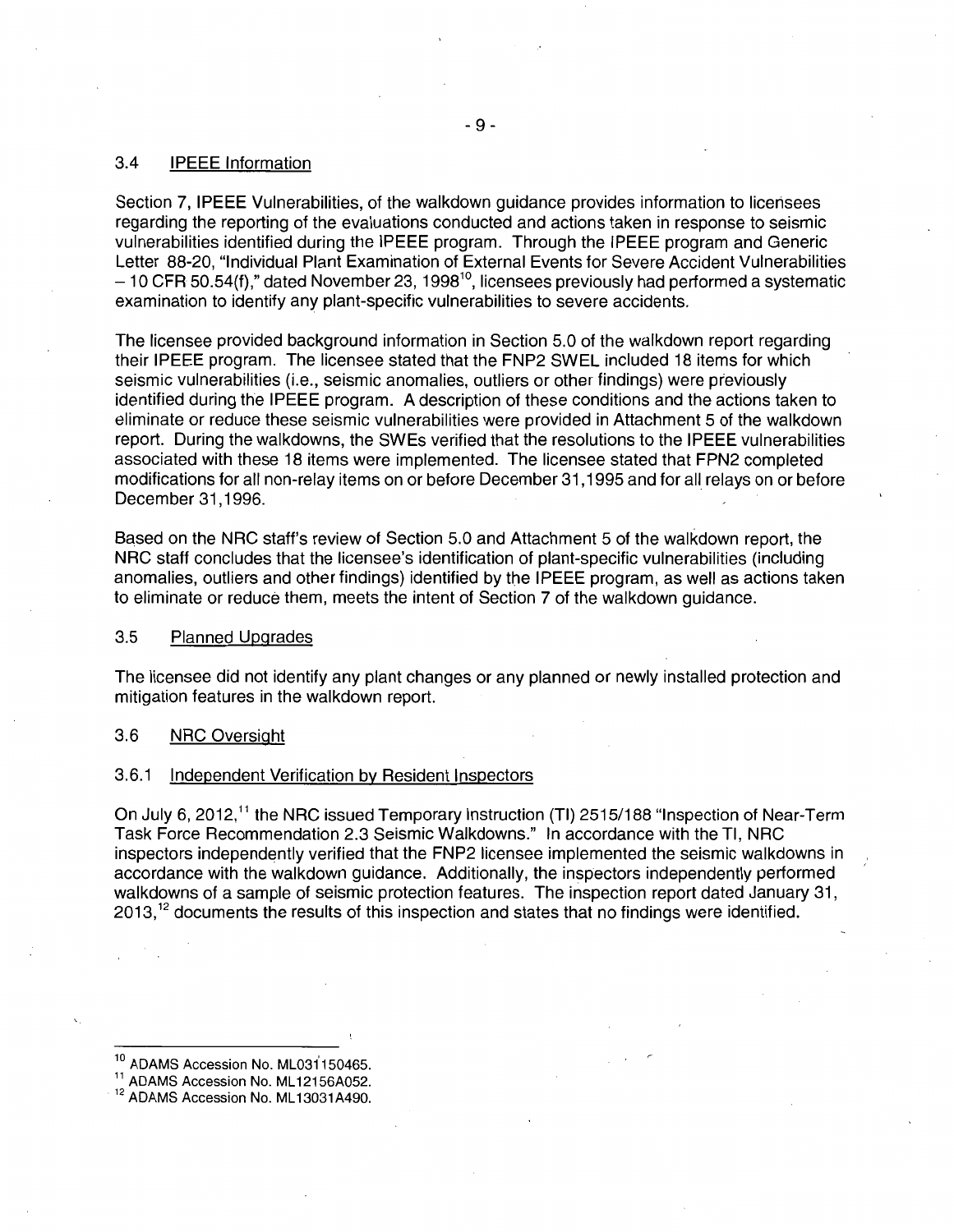#### 3.4 IPEEE Information

Section 7, IPEEE Vulnerabilities, of the walkdown guidance provides information to licensees regarding the reporting of the evaluations conducted and actions taken in response to seismic vulnerabilities identified during the IPEEE program. Through the IPEEE program and Generic Letter 88-20, "Individual Plant Examination of External Events for Severe Accident Vulnerabilities - 10 CFR 50.54(f)," dated November 23, 1998<sup>10</sup>, licensees previously had performed a systematic examination to identify any plant-specific vulnerabilities to severe accidents.

The licensee provided background information in Section 5.0 of the walkdown report regarding their IPEEE program. The licensee stated that the FNP2 SWEL included 18 items for which seismic vulnerabilities (i.e., seismic anomalies, outliers or other findings) were previously identified during the IPEEE program. A description of these conditions and the actions taken to eliminate or reduce these seismic vulnerabilities were provided in Attachment 5 of the walkdown report. During the walkdowns, the SWEs verified that the resolutions to the IPEEE vulnerabilities associated with these 18 items were implemented. The licensee stated that FPN2 completed modifications for all non-relay items on or before December 31 , 1995 and for all relays on or before December 31,1996.

Based on the NRC staff's review of Section 5.0 and Attachment 5 of the walkdown report, the NRC staff concludes that the licensee's identification of plant-specific vulnerabilities (including anomalies, outliers and other findings) identified by the IPEEE program, as well as actions taken to eliminate or reduce them, meets the intent of Section 7 of the walkdown guidance.

#### 3.5 Planned Upgrades

The licensee did not identify any plant changes or any planned or newly installed protection and mitigation features in the walkdown report.

#### 3.6 NRC Oversight

#### 3.6.1 Independent Verification by Resident Inspectors

On July 6, 2012,<sup>11</sup> the NRC issued Temporary Instruction (TI) 2515/188 "Inspection of Near-Term Task Force Recommendation 2.3 Seismic Walkdowns." In accordance with the Tl, NRC inspectors independently verified that the FNP2 licensee implemented the seismic walkdowns in accordance with the walkdown guidance. Additionally, the inspectors independently performed walkdowns of a sample of seismic protection features. The inspection report dated January 31, 2013,<sup>12</sup> documents the results of this inspection and states that no findings were identified.

<sup>&</sup>lt;sup>10</sup> ADAMS Accession No. ML031150465.<br><sup>11</sup> ADAMS Accession No. ML12156A052.<br><sup>12</sup> ADAMS Accession No. ML13031A490.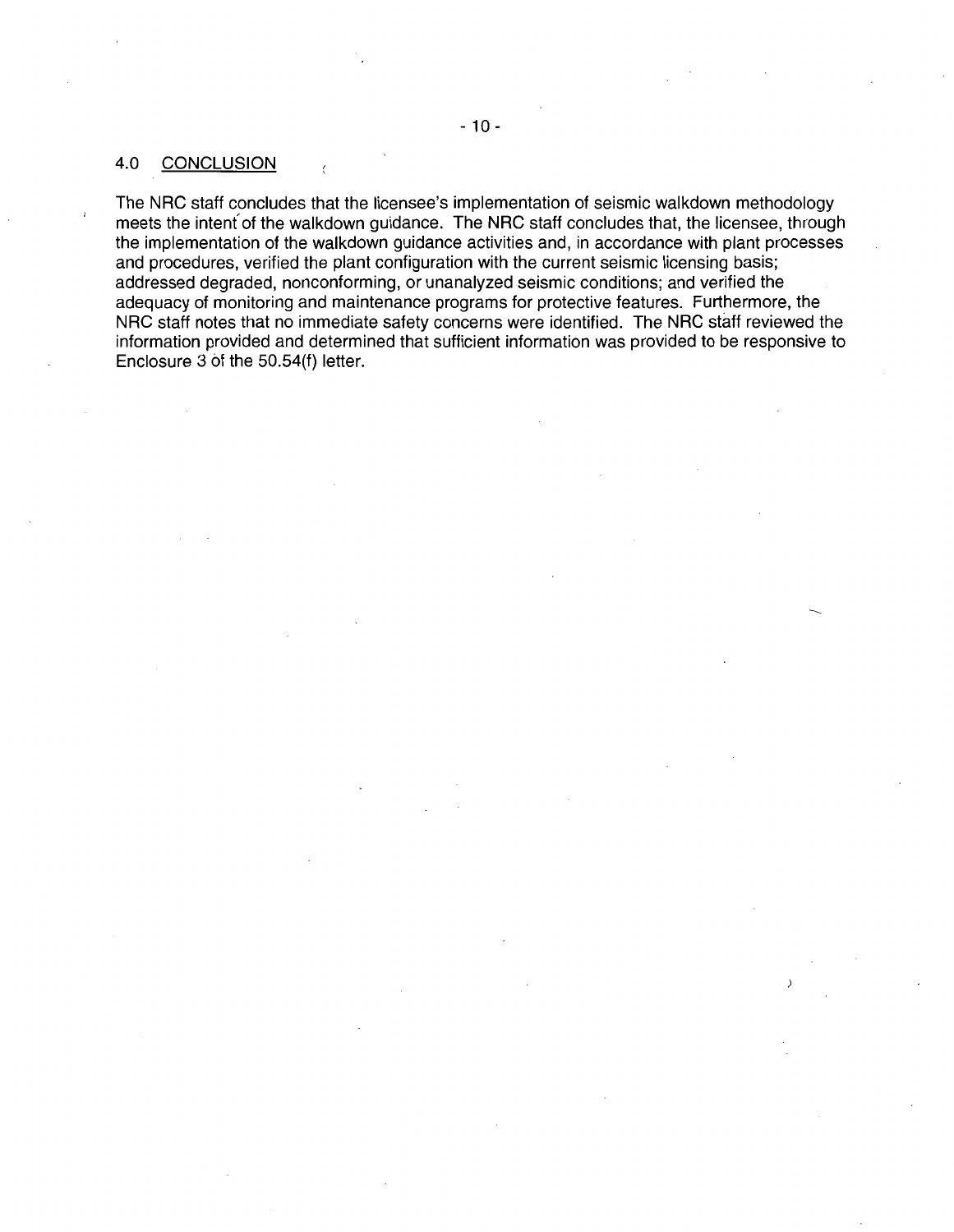# 4.0 CONCLUSION

 $\langle$ 

The NRC staff concludes that the licensee's implementation of seismic walkdown methodology meets the intent' of the walkdown guidance. The NRC staff concludes that, the licensee, through the implementation of the walkdown guidance activities and, in accordance with plant processes and procedures, verified the plant configuration with the current seismic licensing basis; addressed degraded, nonconforming, or unanalyzed seismic conditions; and verified the adequacy of monitoring and maintenance programs for protective features. Furthermore, the NRC staff notes that no immediate safety concerns were identified. The NRC staff reviewed the information provided and determined that sufficient information was provided to be responsive to Enclosure 3 bt the 50.54(f) letter.

-